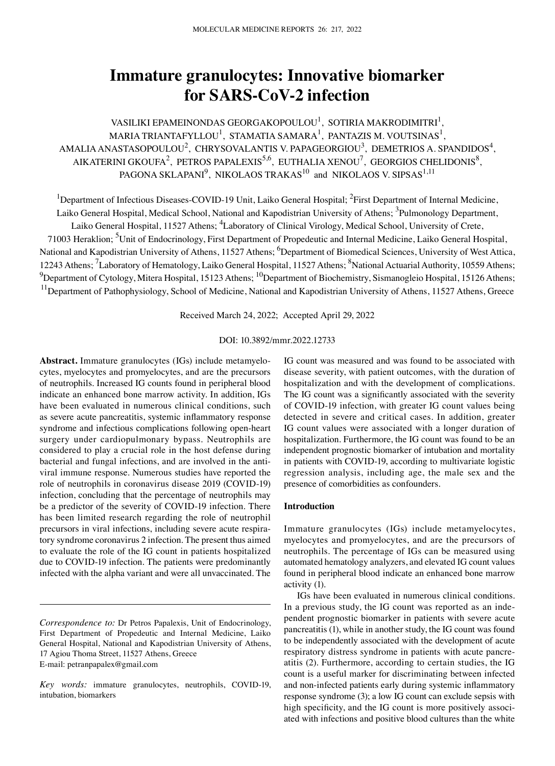# **Immature granulocytes: Innovative biomarker for SARS‑CoV‑2 infection**

VASILIKI EPAMEINONDAS GEORGAKOPOULOU $^{\rm l}$ , SOTIRIA MAKRODIMITRI $^{\rm l}$ , MARIA TRIANTAFYLLOU $^{\rm l}$ , STAMATIA SAMARA $^{\rm l}$ , PANTAZIS M. VOUTSINAS $^{\rm l}$ , AMALIA ANASTASOPOULOU<sup>2</sup>, CHRYSOVALANTIS V. PAPAGEORGIOU<sup>3</sup>, DEMETRIOS A. SPANDIDOS<sup>4</sup>, AIKATERINI GKOUFA<sup>2</sup>, PETROS PAPALEXIS<sup>5,6</sup>, EUTHALIA XENOU<sup>7</sup>, GEORGIOS CHELIDONIS<sup>8</sup>, PAGONA SKLAPANI $^9$ , NIKOLAOS TRAKAS $^{10}$  and NIKOLAOS V. SIPSAS $^{1,11}$ 

<sup>1</sup>Department of Infectious Diseases-COVID-19 Unit, Laiko General Hospital; <sup>2</sup>First Department of Internal Medicine, Laiko General Hospital, Medical School, National and Kapodistrian University of Athens; <sup>3</sup>Pulmonology Department, Laiko General Hospital, 11527 Athens; <sup>4</sup>Laboratory of Clinical Virology, Medical School, University of Crete, 71003 Heraklion; <sup>5</sup>Unit of Endocrinology, First Department of Propedeutic and Internal Medicine, Laiko General Hospital, National and Kapodistrian University of Athens, 11527 Athens; <sup>6</sup>Department of Biomedical Sciences, University of West Attica, 12243 Athens; <sup>7</sup>Laboratory of Hematology, Laiko General Hospital, 11527 Athens; <sup>8</sup>National Actuarial Authority, 10559 Athens;  $^9$ Department of Cytology, Mitera Hospital, 15123 Athens;  $^{10}$ Department of Biochemistry, Sismanogleio Hospital, 15126 Athens; <sup>11</sup>Department of Pathophysiology, School of Medicine, National and Kapodistrian University of Athens, 11527 Athens, Greece

Received March 24, 2022; Accepted April 29, 2022

## DOI: 10.3892/mmr.2022.12733

Abstract. Immature granulocytes (IGs) include metamyelocytes, myelocytes and promyelocytes, and are the precursors of neutrophils. Increased IG counts found in peripheral blood indicate an enhanced bone marrow activity. In addition, IGs have been evaluated in numerous clinical conditions, such as severe acute pancreatitis, systemic inflammatory response syndrome and infectious complications following open-heart surgery under cardiopulmonary bypass. Neutrophils are considered to play a crucial role in the host defense during bacterial and fungal infections, and are involved in the antiviral immune response. Numerous studies have reported the role of neutrophils in coronavirus disease 2019 (COVID-19) infection, concluding that the percentage of neutrophils may be a predictor of the severity of COVID-19 infection. There has been limited research regarding the role of neutrophil precursors in viral infections, including severe acute respiratory syndrome coronavirus 2 infection. The present thus aimed to evaluate the role of the IG count in patients hospitalized due to COVID-19 infection. The patients were predominantly infected with the alpha variant and were all unvaccinated. The IG count was measured and was found to be associated with disease severity, with patient outcomes, with the duration of hospitalization and with the development of complications. The IG count was a significantly associated with the severity of COVID‑19 infection, with greater IG count values being detected in severe and critical cases. In addition, greater IG count values were associated with a longer duration of hospitalization. Furthermore, the IG count was found to be an independent prognostic biomarker of intubation and mortality in patients with COVID-19, according to multivariate logistic regression analysis, including age, the male sex and the presence of comorbidities as confounders.

## **Introduction**

Immature granulocytes (IGs) include metamyelocytes, myelocytes and promyelocytes, and are the precursors of neutrophils. The percentage of IGs can be measured using automated hematology analyzers, and elevated IG count values found in peripheral blood indicate an enhanced bone marrow activity (1).

IGs have been evaluated in numerous clinical conditions. In a previous study, the IG count was reported as an independent prognostic biomarker in patients with severe acute pancreatitis (1), while in another study, the IG count was found to be independently associated with the development of acute respiratory distress syndrome in patients with acute pancreatitis (2). Furthermore, according to certain studies, the IG count is a useful marker for discriminating between infected and non‑infected patients early during systemic inflammatory response syndrome (3); a low IG count can exclude sepsis with high specificity, and the IG count is more positively associated with infections and positive blood cultures than the white

*Correspondence to:* Dr Petros Papalexis, Unit of Endocrinology, First Department of Propedeutic and Internal Medicine, Laiko General Hospital, National and Kapodistrian University of Athens, 17 Agiou Thoma Street, 11527 Athens, Greece E‑mail: petranpapalex@gmail.com

*Key words:* immature granulocytes, neutrophils, COVID‑19, intubation, biomarkers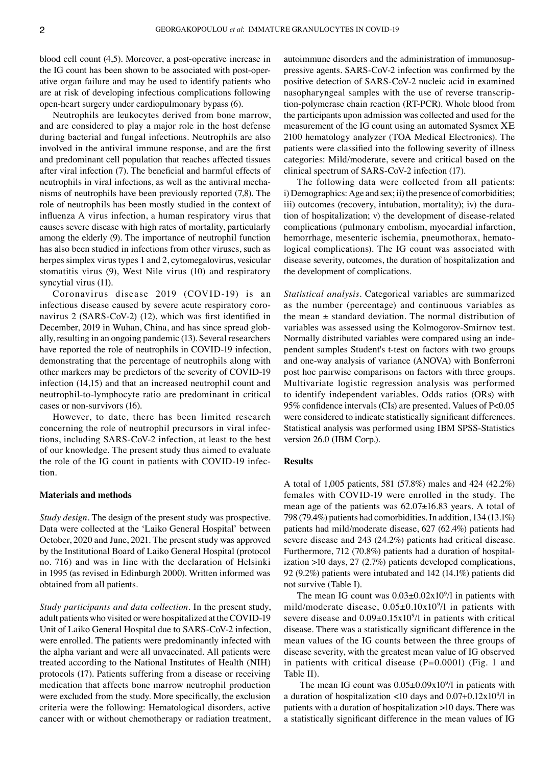blood cell count (4,5). Moreover, a post-operative increase in the IG count has been shown to be associated with post-operative organ failure and may be used to identify patients who are at risk of developing infectious complications following open‑heart surgery under cardiopulmonary bypass (6).

Neutrophils are leukocytes derived from bone marrow, and are considered to play a major role in the host defense during bacterial and fungal infections. Neutrophils are also involved in the antiviral immune response, and are the first and predominant cell population that reaches affected tissues after viral infection (7). The beneficial and harmful effects of neutrophils in viral infections, as well as the antiviral mechanisms of neutrophils have been previously reported (7,8). The role of neutrophils has been mostly studied in the context of influenza A virus infection, a human respiratory virus that causes severe disease with high rates of mortality, particularly among the elderly (9). The importance of neutrophil function has also been studied in infections from other viruses, such as herpes simplex virus types 1 and 2, cytomegalovirus, vesicular stomatitis virus (9), West Nile virus (10) and respiratory syncytial virus (11).

Coronavirus disease 2019 (COVID‑19) is an infectious disease caused by severe acute respiratory coronavirus 2 (SARS-CoV-2) (12), which was first identified in December, 2019 in Wuhan, China, and has since spread globally, resulting in an ongoing pandemic (13). Several researchers have reported the role of neutrophils in COVID-19 infection, demonstrating that the percentage of neutrophils along with other markers may be predictors of the severity of COVID‑19 infection (14,15) and that an increased neutrophil count and neutrophil‑to‑lymphocyte ratio are predominant in critical cases or non‑survivors (16).

However, to date, there has been limited research concerning the role of neutrophil precursors in viral infections, including SARS-CoV-2 infection, at least to the best of our knowledge. The present study thus aimed to evaluate the role of the IG count in patients with COVID-19 infection.

### **Materials and methods**

*Study design.* The design of the present study was prospective. Data were collected at the 'Laiko General Hospital' between October, 2020 and June, 2021. The present study was approved by the Institutional Board of Laiko General Hospital (protocol no. 716) and was in line with the declaration of Helsinki in 1995 (as revised in Edinburgh 2000). Written informed was obtained from all patients.

*Study participants and data collection.* In the present study, adult patients who visited or were hospitalized at the COVID-19 Unit of Laiko General Hospital due to SARS-CoV-2 infection, were enrolled. The patients were predominantly infected with the alpha variant and were all unvaccinated. All patients were treated according to the National Institutes of Health (NIH) protocols (17). Patients suffering from a disease or receiving medication that affects bone marrow neutrophil production were excluded from the study. More specifically, the exclusion criteria were the following: Hematological disorders, active cancer with or without chemotherapy or radiation treatment, autoimmune disorders and the administration of immunosuppressive agents. SARS‑CoV‑2 infection was confirmed by the positive detection of SARS‑CoV‑2 nucleic acid in examined nasopharyngeal samples with the use of reverse transcription‑polymerase chain reaction (RT‑PCR). Whole blood from the participants upon admission was collected and used for the measurement of the IG count using an automated Sysmex XE 2100 hematology analyzer (TOA Medical Electronics). The patients were classified into the following severity of illness categories: Mild/moderate, severe and critical based on the clinical spectrum of SARS‑CoV‑2 infection (17).

The following data were collected from all patients:  $i)$  Demographics: Age and sex;  $ii)$  the presence of comorbidities; iii) outcomes (recovery, intubation, mortality); iv) the duration of hospitalization; v) the development of disease‑related complications (pulmonary embolism, myocardial infarction, hemorrhage, mesenteric ischemia, pneumothorax, hematological complications). The IG count was associated with disease severity, outcomes, the duration of hospitalization and the development of complications.

*Statistical analysis.* Categorical variables are summarized as the number (percentage) and continuous variables as the mean  $\pm$  standard deviation. The normal distribution of variables was assessed using the Kolmogorov‑Smirnov test. Normally distributed variables were compared using an inde‑ pendent samples Student's t‑test on factors with two groups and one‑way analysis of variance (ANOVA) with Bonferroni post hoc pairwise comparisons on factors with three groups. Multivariate logistic regression analysis was performed to identify independent variables. Odds ratios (ORs) with 95% confidence intervals (CIs) are presented. Values of P<0.05 were considered to indicate statistically significant differences. Statistical analysis was performed using IBM SPSS‑Statistics version 26.0 (IBM Corp.).

#### **Results**

A total of 1,005 patients, 581 (57.8%) males and 424 (42.2%) females with COVID‑19 were enrolled in the study. The mean age of the patients was 62.07±16.83 years. A total of 798 (79.4%) patients had comorbidities. In addition, 134 (13.1%) patients had mild/moderate disease, 627 (62.4%) patients had severe disease and 243 (24.2%) patients had critical disease. Furthermore, 712 (70.8%) patients had a duration of hospitalization >10 days, 27 (2.7%) patients developed complications, 92 (9.2%) patients were intubated and 142 (14.1%) patients did not survive (Table I).

The mean IG count was  $0.03 \pm 0.02 \times 10^9$ /l in patients with mild/moderate disease,  $0.05 \pm 0.10 \times 10^{9}$ /l in patients with severe disease and  $0.09 \pm 0.15 \times 10^{9}$  in patients with critical disease. There was a statistically significant difference in the mean values of the IG counts between the three groups of disease severity, with the greatest mean value of IG observed in patients with critical disease (P=0.0001) (Fig. 1 and Table II).

The mean IG count was  $0.05 \pm 0.09 \times 10^9$ /l in patients with a duration of hospitalization <10 days and  $0.07+0.12 \times 10^9/1$  in patients with a duration of hospitalization >10 days. There was a statistically significant difference in the mean values of IG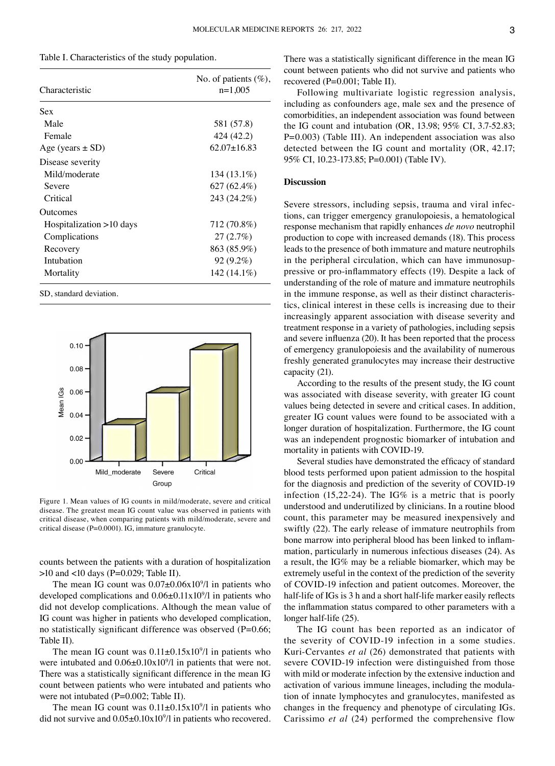Table I. Characteristics of the study population.

| Characteristic           | No. of patients $(\%)$ ,<br>$n=1,005$ |
|--------------------------|---------------------------------------|
| Sex                      |                                       |
| Male                     | 581 (57.8)                            |
| Female                   | 424 (42.2)                            |
| Age (years $\pm$ SD)     | $62.07 + 16.83$                       |
| Disease severity         |                                       |
| Mild/moderate            | 134 (13.1%)                           |
| Severe                   | 627 (62.4%)                           |
| Critical                 | 243 (24.2%)                           |
| <b>Outcomes</b>          |                                       |
| Hospitalization >10 days | 712 (70.8%)                           |
| Complications            | 27(2.7%)                              |
| Recovery                 | 863 (85.9%)                           |
| Intubation               | $92(9.2\%)$                           |
| Mortality                | 142 (14.1%)                           |

SD, standard deviation.



Figure 1. Mean values of IG counts in mild/moderate, severe and critical disease. The greatest mean IG count value was observed in patients with critical disease, when comparing patients with mild/moderate, severe and critical disease (P=0.0001). IG, immature granulocyte.

counts between the patients with a duration of hospitalization >10 and <10 days (P=0.029; Table II).

The mean IG count was  $0.07 \pm 0.06 \times 10^9$ /l in patients who developed complications and  $0.06 \pm 0.11 \times 10^9$ /l in patients who did not develop complications. Although the mean value of IG count was higher in patients who developed complication, no statistically significant difference was observed (P=0.66; Table II).

The mean IG count was  $0.11 \pm 0.15 \times 10^9$ /l in patients who were intubated and  $0.06 \pm 0.10 \times 10^9$ /l in patients that were not. There was a statistically significant difference in the mean IG count between patients who were intubated and patients who were not intubated (P=0.002; Table II).

The mean IG count was  $0.11 \pm 0.15 \times 10^9$ /l in patients who did not survive and  $0.05 \pm 0.10 \times 10^9$ /l in patients who recovered. There was a statistically significant difference in the mean IG count between patients who did not survive and patients who recovered (P=0.001; Table II).

Following multivariate logistic regression analysis, including as confounders age, male sex and the presence of comorbidities, an independent association was found between the IG count and intubation (OR, 13.98; 95% CI, 3.7‑52.83; P=0.003) (Table III). An independent association was also detected between the IG count and mortality (OR, 42.17; 95% CI, 10.23‑173.85; P=0.001) (Table IV).

## **Discussion**

Severe stressors, including sepsis, trauma and viral infections, can trigger emergency granulopoiesis, a hematological response mechanism that rapidly enhances *de novo* neutrophil production to cope with increased demands (18). This process leads to the presence of both immature and mature neutrophils in the peripheral circulation, which can have immunosuppressive or pro‑inflammatory effects (19). Despite a lack of understanding of the role of mature and immature neutrophils in the immune response, as well as their distinct characteristics, clinical interest in these cells is increasing due to their increasingly apparent association with disease severity and treatment response in a variety of pathologies, including sepsis and severe influenza (20). It has been reported that the process of emergency granulopoiesis and the availability of numerous freshly generated granulocytes may increase their destructive capacity (21).

According to the results of the present study, the IG count was associated with disease severity, with greater IG count values being detected in severe and critical cases. In addition, greater IG count values were found to be associated with a longer duration of hospitalization. Furthermore, the IG count was an independent prognostic biomarker of intubation and mortality in patients with COVID‑19.

Several studies have demonstrated the efficacy of standard blood tests performed upon patient admission to the hospital for the diagnosis and prediction of the severity of COVID-19 infection (15,22-24). The IG% is a metric that is poorly understood and underutilized by clinicians. In a routine blood count, this parameter may be measured inexpensively and swiftly (22). The early release of immature neutrophils from bone marrow into peripheral blood has been linked to inflammation, particularly in numerous infectious diseases (24). As a result, the IG% may be a reliable biomarker, which may be extremely useful in the context of the prediction of the severity of COVID‑19 infection and patient outcomes. Moreover, the half-life of IGs is 3 h and a short half-life marker easily reflects the inflammation status compared to other parameters with a longer half-life (25).

The IG count has been reported as an indicator of the severity of COVID‑19 infection in a some studies. Kuri‑Cervantes *et al* (26) demonstrated that patients with severe COVID-19 infection were distinguished from those with mild or moderate infection by the extensive induction and activation of various immune lineages, including the modulation of innate lymphocytes and granulocytes, manifested as changes in the frequency and phenotype of circulating IGs. Carissimo *et al* (24) performed the comprehensive flow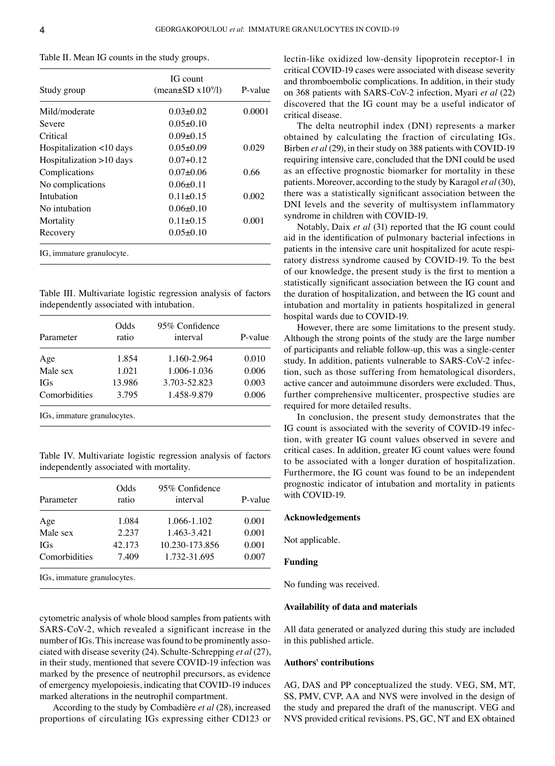|  |  |  |  |  |  |  |  |  | Table II. Mean IG counts in the study groups. |
|--|--|--|--|--|--|--|--|--|-----------------------------------------------|
|--|--|--|--|--|--|--|--|--|-----------------------------------------------|

| Study group               | IG count<br>(mean $\pm$ SD x10 <sup>9</sup> /l) | P-value |
|---------------------------|-------------------------------------------------|---------|
| Mild/moderate             | $0.03 + 0.02$                                   | 0.0001  |
| Severe                    | $0.05 + 0.10$                                   |         |
| Critical                  | $0.09 + 0.15$                                   |         |
| Hospitalization <10 days  | 0.05+0.09                                       | 0.029   |
| Hospitalization >10 days  | $0.07 + 0.12$                                   |         |
| Complications             | $0.07 + 0.06$                                   | 0.66    |
| No complications          | $0.06 + 0.11$                                   |         |
| Intubation                | $0.11 + 0.15$                                   | 0.002   |
| No intubation             | $0.06 + 0.10$                                   |         |
| Mortality                 | $0.11 + 0.15$                                   | 0.001   |
| Recovery                  | $0.05 \pm 0.10$                                 |         |
| IG, immature granulocyte. |                                                 |         |

Table III. Multivariate logistic regression analysis of factors independently associated with intubation.

| Parameter                                                   | Odds<br>ratio | 95% Confidence<br>interval | P-value |
|-------------------------------------------------------------|---------------|----------------------------|---------|
| Age                                                         | 1.854         | 1.160-2.964                | 0.010   |
| Male sex                                                    | 1.021         | 1.006-1.036                | 0.006   |
| <b>IGs</b>                                                  | 13.986        | 3.703-52.823               | 0.003   |
| Comorbidities                                               | 3.795         | 1.458-9.879                | 0.006   |
| $10^{\circ}$ : $\ldots$ $\ldots$ $\ldots$ $\ldots$ $\ldots$ |               |                            |         |

IGs, immature granulocytes.

Table IV. Multivariate logistic regression analysis of factors independently associated with mortality.

| Parameter                   | Odds<br>ratio | 95% Confidence<br>interval | P-value |  |
|-----------------------------|---------------|----------------------------|---------|--|
| Age                         | 1.084         | 1.066-1.102                | 0.001   |  |
| Male sex                    | 2.237         | 1.463-3.421                | 0.001   |  |
| <b>IGs</b>                  | 42.173        | 10.230-173.856             | 0.001   |  |
| Comorbidities               | 7.409         | 1.732-31.695               | 0.007   |  |
| IGs, immature granulocytes. |               |                            |         |  |

cytometric analysis of whole blood samples from patients with SARS-CoV-2, which revealed a significant increase in the number of IGs. This increase was found to be prominently associated with disease severity (24). Schulte‑Schrepping *et al* (27), in their study, mentioned that severe COVID-19 infection was marked by the presence of neutrophil precursors, as evidence of emergency myelopoiesis, indicating that COVID‑19 induces marked alterations in the neutrophil compartment.

According to the study by Combadière *et al* (28), increased proportions of circulating IGs expressing either CD123 or lectin-like oxidized low-density lipoprotein receptor-1 in critical COVID‑19 cases were associated with disease severity and thromboembolic complications. In addition, in their study on 368 patients with SARS‑CoV‑2 infection, Myari *et al* (22) discovered that the IG count may be a useful indicator of critical disease.

The delta neutrophil index (DNI) represents a marker obtained by calculating the fraction of circulating IGs. Birben et al (29), in their study on 388 patients with COVID-19 requiring intensive care, concluded that the DNI could be used as an effective prognostic biomarker for mortality in these patients. Moreover, according to the study by Karagol *et al* (30), there was a statistically significant association between the DNI levels and the severity of multisystem inflammatory syndrome in children with COVID-19.

Notably, Daix *et al* (31) reported that the IG count could aid in the identification of pulmonary bacterial infections in patients in the intensive care unit hospitalized for acute respiratory distress syndrome caused by COVID‑19. To the best of our knowledge, the present study is the first to mention a statistically significant association between the IG count and the duration of hospitalization, and between the IG count and intubation and mortality in patients hospitalized in general hospital wards due to COVID‑19.

However, there are some limitations to the present study. Although the strong points of the study are the large number of participants and reliable follow‑up, this was a single‑center study. In addition, patients vulnerable to SARS-CoV-2 infection, such as those suffering from hematological disorders, active cancer and autoimmune disorders were excluded. Thus, further comprehensive multicenter, prospective studies are required for more detailed results.

In conclusion, the present study demonstrates that the IG count is associated with the severity of COVID-19 infection, with greater IG count values observed in severe and critical cases. In addition, greater IG count values were found to be associated with a longer duration of hospitalization. Furthermore, the IG count was found to be an independent prognostic indicator of intubation and mortality in patients with COVID-19.

#### **Acknowledgements**

Not applicable.

## **Funding**

No funding was received.

## **Availability of data and materials**

All data generated or analyzed during this study are included in this published article.

## **Authors' contributions**

AG, DAS and PP conceptualized the study. VEG, SM, MT, SS, PMV, CVP, AA and NVS were involved in the design of the study and prepared the draft of the manuscript. VEG and NVS provided critical revisions. PS, GC, NT and EX obtained